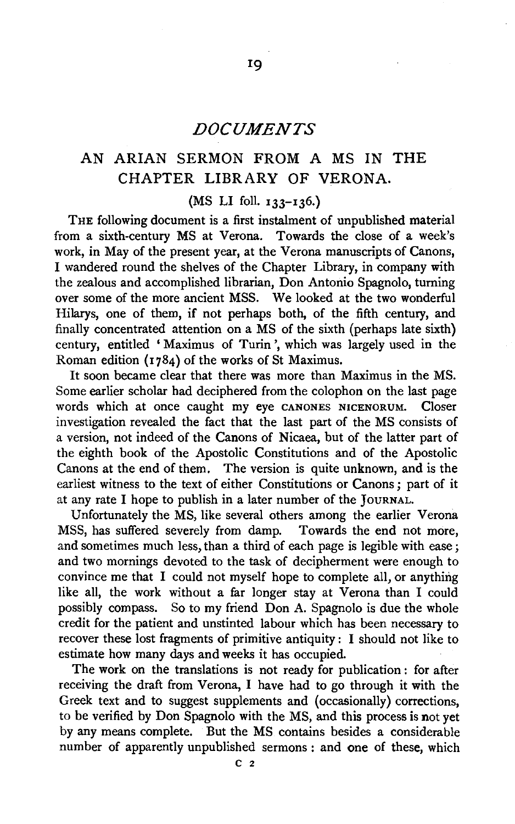## *DOCUMENTS*

## AN ARIAN SERMON FROM A MS IN THE CHAPTER LIBRARY OF VERONA.

## $(MS LI)$  foll.  $133-136$ .

THE following document is a first instalment of unpublished material from a sixth-century MS at Verona. Towards the close of a week's work, in May of the present year, at the Verona manuscripts of Canons, I wandered round the shelves of the Chapter Library, in company with the zealous and accomplished librarian, Don Antonio Spagnolo, turning over some of the more ancient MSS. We looked at the two wonderful Hilarys, one of them, if not perhaps both, of the fifth century, and finally concentrated attention on a MS of the sixth (perhaps late sixth) century, entitled ' Maximus of Turin', which was largely used in the Roman edition (1784) of the works of St Maximus.

It soon became clear that there was more than Maximus in the MS. Some earlier scholar had deciphered from the colophon on the last page words which at once caught my eye CANONES NICENORUM. Closer investigation revealed the fact that the last part of the MS consists of a version, not indeed of the Canons of Nicaea, but of the latter part of the eighth book of the Apostolic Constitutions and of the Apostolic Canons at the end of them. The version is quite unknown, and is the earliest witness to the text of either Constitutions or Canons; part of it at any rate I hope to publish in a later number of the JOURNAL.

Unfortunately the MS, like several others among the earlier Verona MSS, has suffered severely from damp. Towards the end not more, and sometimes much less, than a third of each page is legible with ease ; and two mornings devoted to the task of decipherment were enough to convince me that I could not myself hope to complete all, or anything like all, the work without a far longer stay at Verona than I could possibly compass. So to my friend Don A. Spagnolo is due the whole credit for the patient and unstinted labour which has been necessary to recover these lost fragments of primitive antiquity : I should not like to estimate how many days and weeks it has occupied.

The work on the translations is not ready for publication : for after receiving the draft from Verona, I have had to go through it with the Greek text and to suggest supplements and (occasionally) corrections, to be verified by Don Spagnolo with the MS, and this process is not yet by any means complete. But the MS contains besides a considerable number of apparently unpublished sermons : and one of these, which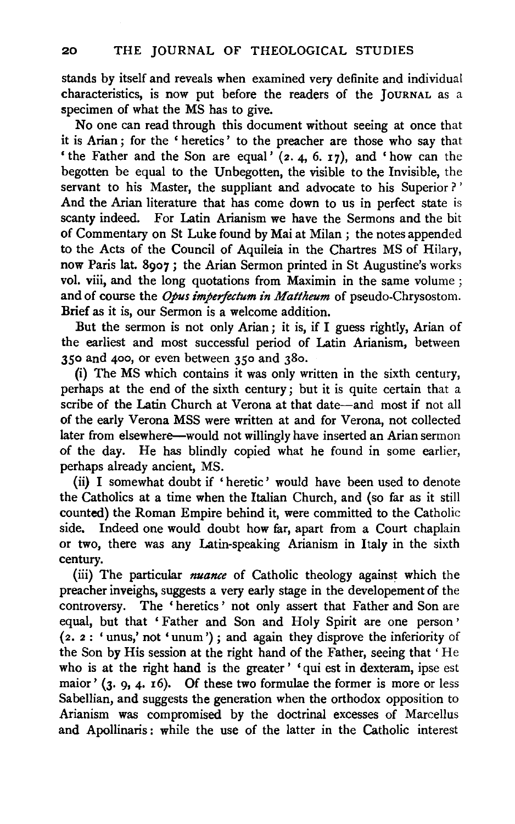stands by itself and reveals when examined very definite and individual characteristics, is now put before the readers of the JoURNAL as a specimen of what the MS has to give.

No one can read through this document without seeing at once that it is Arian; for the ' heretics' to the preacher are those who say that 'the Father and the Son are equal' (2. 4, 6. r7), and 'how can the begotten be equal to the Unbegotten, the visible to the Invisible, the servant to his Master, the suppliant and advocate to his Superior?' And the Arian literature that has come down to us in perfect state is scanty indeed. For Latin Arianism we have the Sermons and the bit of Commentary on St Luke found by Mai at Milan ; the notes appended to the Acts of the Council of Aquileia in the Chartres MS of Hilary, now Paris lat. 8907 ; the Arian Sermon printed in St Augustine's works vol. viii, and the long quotations from Maximin in the same volume ; and of course the *Opus imperfectum in Mattheum* of pseudo-Chrysostom. Brief as it is, our Sermon is a welcome addition.

But the sermon is not only Arian; it is, if I guess rightly, Arian of the earliest and most successful period of Latin Arianism, between 350 and 400, or even between 350 and 380.

(i) The MS which contains it was only written in the sixth century, perhaps at the end of the sixth century; but it is quite certain that a scribe of the Latin Church at Verona at that date-and most if not all of the early Verona MSS were written at and for Verona, not collected later from elsewhere-would not willingly have inserted an Arian sermon of the day. He has blindly copied what he found in some earlier, perhaps already ancient, MS.

(ii) I somewhat doubt if 'heretic' would have been used to denote the Catholics at a time when the Italian Church, and (so far as it still counted) the Roman Empire behind it, were committed to the Catholic side. Indeed one would doubt how far, apart from a Court chaplain or two, there was any Latin-speaking Arianism in Italy in the sixth century.

(iii) The particular *nuance* of Catholic theology against which the preacher inveighs, suggests a very early stage in the developement of the controversy. The 'heretics' not only assert that Father and Son are equal, but that 'Father and Son and Holy Spirit are one person' (2. 2: 'unus,' not 'unum'); and again they disprove the inferiority of the Son by His session at the right hand of the Father, seeing that 'He who is at the right hand is the greater ' ' qui est in dexteram, ipse est maior'  $(3, 9, 4, 16)$ . Of these two formulae the former is more or less Sabellian, and suggests the generation when the orthodox opposition to Arianism was compromised by the doctrinal excesses of Marcellus and Apollinaris : while the use of the latter in the Catholic interest